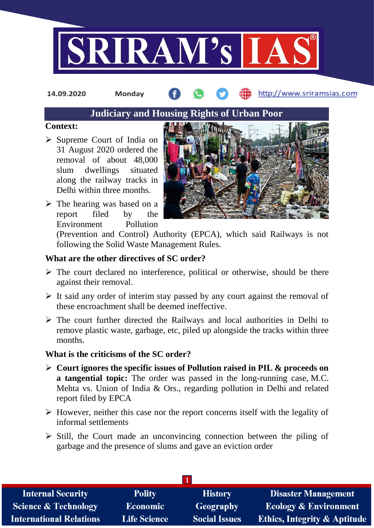

**14.09.2020 Monday**

## http://www.sriramsias.com

# **Judiciary and Housing Rights of Urban Poor**

#### **Context:**

- $\triangleright$  Supreme Court of India on 31 August 2020 ordered the removal of about 48,000 slum dwellings situated along the railway tracks in Delhi within three months.
- $\triangleright$  The hearing was based on a report filed by the Environment Pollution



(Prevention and Control) Authority (EPCA), which said Railways is not following the Solid Waste Management Rules.

### **What are the other directives of SC order?**

- $\triangleright$  The court declared no interference, political or otherwise, should be there against their removal.
- $\triangleright$  It said any order of interim stay passed by any court against the removal of these encroachment shall be deemed ineffective.
- $\triangleright$  The court further directed the Railways and local authorities in Delhi to remove plastic waste, garbage, etc, piled up alongside the tracks within three months.

#### **What is the criticisms of the SC order?**

- **Court ignores the specific issues of Pollution raised in PIL & proceeds on a tangential topic:** The order was passed in the long-running case, M.C. Mehta vs. Union of India & Ors., regarding pollution in Delhi and related report filed by EPCA
- $\triangleright$  However, neither this case nor the report concerns itself with the legality of informal settlements
- $\triangleright$  Still, the Court made an unconvincing connection between the piling of garbage and the presence of slums and gave an eviction order

| <b>Internal Security</b>        | <b>Polity</b>       | <b>History</b>       | <b>Disaster Management</b>              |  |  |
|---------------------------------|---------------------|----------------------|-----------------------------------------|--|--|
| <b>Science &amp; Technology</b> | Economic            | Geography            | <b>Ecology &amp; Environment</b>        |  |  |
| <b>International Relations</b>  | <b>Life Science</b> | <b>Social Issues</b> | <b>Ethics, Integrity &amp; Aptitude</b> |  |  |